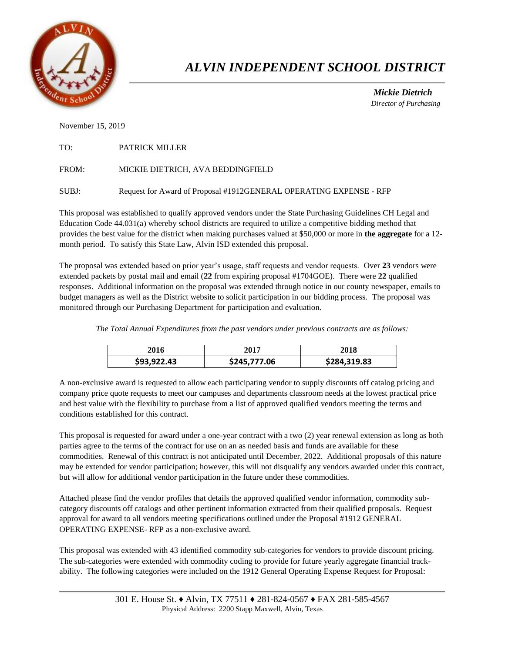

# *ALVIN INDEPENDENT SCHOOL DISTRICT*

 *Mickie Dietrich Director of Purchasing*

November 15, 2019

| TO: | <b>PATRICK MILLER</b> |  |
|-----|-----------------------|--|
|     |                       |  |

FROM: MICKIE DIETRICH, AVA BEDDINGFIELD

SUBJ: Request for Award of Proposal #1912GENERAL OPERATING EXPENSE - RFP

This proposal was established to qualify approved vendors under the State Purchasing Guidelines CH Legal and Education Code 44.031(a) whereby school districts are required to utilize a competitive bidding method that provides the best value for the district when making purchases valued at \$50,000 or more in **the aggregate** for a 12 month period. To satisfy this State Law, Alvin ISD extended this proposal.

The proposal was extended based on prior year's usage, staff requests and vendor requests. Over **23** vendors were extended packets by postal mail and email (**22** from expiring proposal #1704GOE). There were **22** qualified responses. Additional information on the proposal was extended through notice in our county newspaper, emails to budget managers as well as the District website to solicit participation in our bidding process. The proposal was monitored through our Purchasing Department for participation and evaluation.

*The Total Annual Expenditures from the past vendors under previous contracts are as follows:* 

| 2016        | 2017         | 2018         |
|-------------|--------------|--------------|
| \$93,922.43 | \$245,777.06 | \$284,319.83 |

A non-exclusive award is requested to allow each participating vendor to supply discounts off catalog pricing and company price quote requests to meet our campuses and departments classroom needs at the lowest practical price and best value with the flexibility to purchase from a list of approved qualified vendors meeting the terms and conditions established for this contract.

This proposal is requested for award under a one-year contract with a two (2) year renewal extension as long as both parties agree to the terms of the contract for use on an as needed basis and funds are available for these commodities. Renewal of this contract is not anticipated until December, 2022. Additional proposals of this nature may be extended for vendor participation; however, this will not disqualify any vendors awarded under this contract, but will allow for additional vendor participation in the future under these commodities.

Attached please find the vendor profiles that details the approved qualified vendor information, commodity subcategory discounts off catalogs and other pertinent information extracted from their qualified proposals. Request approval for award to all vendors meeting specifications outlined under the Proposal #1912 GENERAL OPERATING EXPENSE- RFP as a non-exclusive award.

This proposal was extended with 43 identified commodity sub-categories for vendors to provide discount pricing. The sub-categories were extended with commodity coding to provide for future yearly aggregate financial trackability. The following categories were included on the 1912 General Operating Expense Request for Proposal: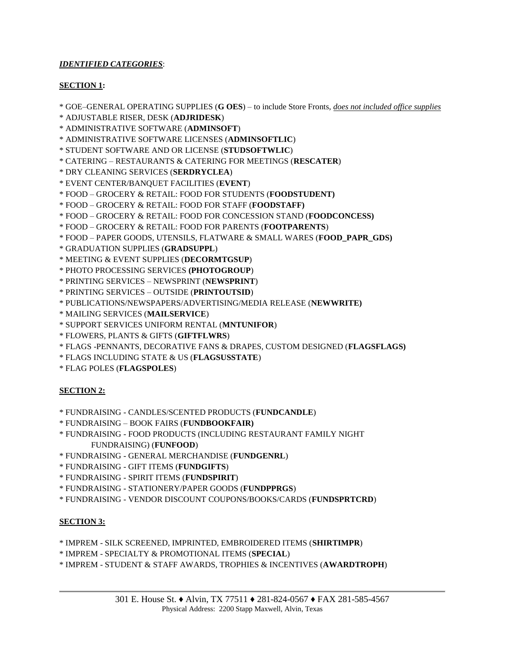## *IDENTIFIED CATEGORIES*:

### **SECTION 1:**

\* GOE–GENERAL OPERATING SUPPLIES (**G OES**) – to include Store Fronts, *does not included office supplies*

\* ADJUSTABLE RISER, DESK (**ADJRIDESK**)

\* ADMINISTRATIVE SOFTWARE (**ADMINSOFT**)

\* ADMINISTRATIVE SOFTWARE LICENSES (**ADMINSOFTLIC**)

\* STUDENT SOFTWARE AND OR LICENSE (**STUDSOFTWLIC**)

- \* CATERING RESTAURANTS & CATERING FOR MEETINGS (**RESCATER**)
- \* DRY CLEANING SERVICES (**SERDRYCLEA**)

\* EVENT CENTER/BANQUET FACILITIES (**EVENT**)

\* FOOD – GROCERY & RETAIL: FOOD FOR STUDENTS (**FOODSTUDENT)**

\* FOOD – GROCERY & RETAIL: FOOD FOR STAFF (**FOODSTAFF)**

\* FOOD – GROCERY & RETAIL: FOOD FOR CONCESSION STAND (**FOODCONCESS)**

\* FOOD – GROCERY & RETAIL: FOOD FOR PARENTS (**FOOTPARENTS**)

\* FOOD – PAPER GOODS, UTENSILS, FLATWARE & SMALL WARES (**FOOD\_PAPR\_GDS)**

\* GRADUATION SUPPLIES (**GRADSUPPL**)

\* MEETING & EVENT SUPPLIES (**DECORMTGSUP**)

- \* PHOTO PROCESSING SERVICES **(PHOTOGROUP**)
- \* PRINTING SERVICES NEWSPRINT (**NEWSPRINT**)
- \* PRINTING SERVICES OUTSIDE (**PRINTOUTSID**)
- \* PUBLICATIONS/NEWSPAPERS/ADVERTISING/MEDIA RELEASE (**NEWWRITE)**
- \* MAILING SERVICES (**MAILSERVICE**)
- \* SUPPORT SERVICES UNIFORM RENTAL (**MNTUNIFOR**)
- \* FLOWERS, PLANTS & GIFTS (**GIFTFLWRS**)

\* FLAGS -PENNANTS, DECORATIVE FANS & DRAPES, CUSTOM DESIGNED (**FLAGSFLAGS)**

- \* FLAGS INCLUDING STATE & US (**FLAGSUSSTATE**)
- \* FLAG POLES (**FLAGSPOLES**)

### **SECTION 2:**

- \* FUNDRAISING CANDLES/SCENTED PRODUCTS (**FUNDCANDLE**)
- \* FUNDRAISING BOOK FAIRS (**FUNDBOOKFAIR)**

\* FUNDRAISING - FOOD PRODUCTS (INCLUDING RESTAURANT FAMILY NIGHT

- FUNDRAISING) (**FUNFOOD**)
- \* FUNDRAISING GENERAL MERCHANDISE (**FUNDGENRL**)
- \* FUNDRAISING GIFT ITEMS (**FUNDGIFTS**)
- \* FUNDRAISING SPIRIT ITEMS (**FUNDSPIRIT**)
- \* FUNDRAISING STATIONERY/PAPER GOODS (**FUNDPPRGS**)
- \* FUNDRAISING VENDOR DISCOUNT COUPONS/BOOKS/CARDS (**FUNDSPRTCRD**)

### **SECTION 3:**

- \* IMPREM SILK SCREENED, IMPRINTED, EMBROIDERED ITEMS (**SHIRTIMPR**)
- \* IMPREM SPECIALTY & PROMOTIONAL ITEMS (**SPECIAL**)
- \* IMPREM STUDENT & STAFF AWARDS, TROPHIES & INCENTIVES (**AWARDTROPH**)